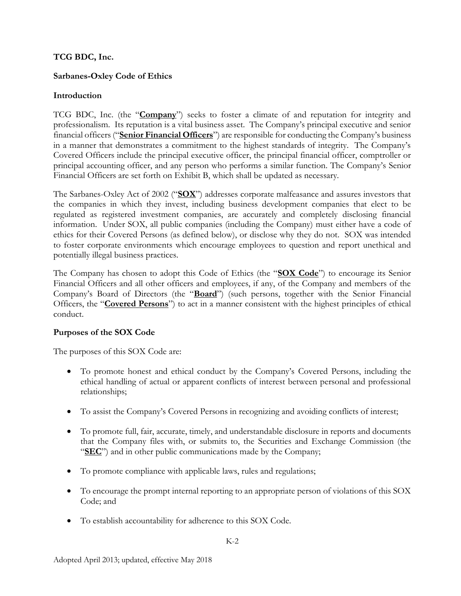## **TCG BDC, Inc.**

## **Sarbanes-Oxley Code of Ethics**

## **Introduction**

TCG BDC, Inc. (the "**Company**") seeks to foster a climate of and reputation for integrity and professionalism. Its reputation is a vital business asset. The Company's principal executive and senior financial officers ("**Senior Financial Officers**") are responsible for conducting the Company's business in a manner that demonstrates a commitment to the highest standards of integrity. The Company's Covered Officers include the principal executive officer, the principal financial officer, comptroller or principal accounting officer, and any person who performs a similar function. The Company's Senior Financial Officers are set forth on Exhibit B, which shall be updated as necessary.

The Sarbanes-Oxley Act of 2002 ("**SOX**") addresses corporate malfeasance and assures investors that the companies in which they invest, including business development companies that elect to be regulated as registered investment companies, are accurately and completely disclosing financial information. Under SOX, all public companies (including the Company) must either have a code of ethics for their Covered Persons (as defined below), or disclose why they do not. SOX was intended to foster corporate environments which encourage employees to question and report unethical and potentially illegal business practices.

The Company has chosen to adopt this Code of Ethics (the "**SOX Code**") to encourage its Senior Financial Officers and all other officers and employees, if any, of the Company and members of the Company's Board of Directors (the "**Board**") (such persons, together with the Senior Financial Officers, the "**Covered Persons**") to act in a manner consistent with the highest principles of ethical conduct.

### **Purposes of the SOX Code**

The purposes of this SOX Code are:

- To promote honest and ethical conduct by the Company's Covered Persons, including the ethical handling of actual or apparent conflicts of interest between personal and professional relationships;
- To assist the Company's Covered Persons in recognizing and avoiding conflicts of interest;
- To promote full, fair, accurate, timely, and understandable disclosure in reports and documents that the Company files with, or submits to, the Securities and Exchange Commission (the "**SEC**") and in other public communications made by the Company;
- To promote compliance with applicable laws, rules and regulations;
- To encourage the prompt internal reporting to an appropriate person of violations of this SOX Code; and
- To establish accountability for adherence to this SOX Code.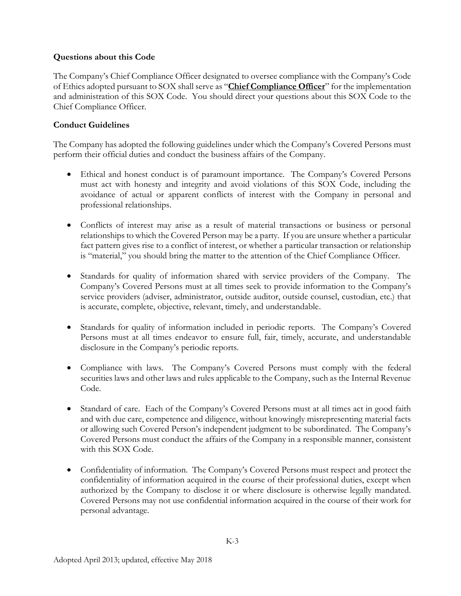## **Questions about this Code**

The Company's Chief Compliance Officer designated to oversee compliance with the Company's Code of Ethics adopted pursuant to SOX shall serve as "**Chief Compliance Officer**" for the implementation and administration of this SOX Code. You should direct your questions about this SOX Code to the Chief Compliance Officer.

## **Conduct Guidelines**

The Company has adopted the following guidelines under which the Company's Covered Persons must perform their official duties and conduct the business affairs of the Company.

- Ethical and honest conduct is of paramount importance. The Company's Covered Persons must act with honesty and integrity and avoid violations of this SOX Code, including the avoidance of actual or apparent conflicts of interest with the Company in personal and professional relationships.
- Conflicts of interest may arise as a result of material transactions or business or personal relationships to which the Covered Person may be a party. If you are unsure whether a particular fact pattern gives rise to a conflict of interest, or whether a particular transaction or relationship is "material," you should bring the matter to the attention of the Chief Compliance Officer.
- Standards for quality of information shared with service providers of the Company. The Company's Covered Persons must at all times seek to provide information to the Company's service providers (adviser, administrator, outside auditor, outside counsel, custodian, etc.) that is accurate, complete, objective, relevant, timely, and understandable.
- Standards for quality of information included in periodic reports. The Company's Covered Persons must at all times endeavor to ensure full, fair, timely, accurate, and understandable disclosure in the Company's periodic reports.
- Compliance with laws. The Company's Covered Persons must comply with the federal securities laws and other laws and rules applicable to the Company, such as the Internal Revenue Code.
- Standard of care. Each of the Company's Covered Persons must at all times act in good faith and with due care, competence and diligence, without knowingly misrepresenting material facts or allowing such Covered Person's independent judgment to be subordinated. The Company's Covered Persons must conduct the affairs of the Company in a responsible manner, consistent with this SOX Code.
- Confidentiality of information. The Company's Covered Persons must respect and protect the confidentiality of information acquired in the course of their professional duties, except when authorized by the Company to disclose it or where disclosure is otherwise legally mandated. Covered Persons may not use confidential information acquired in the course of their work for personal advantage.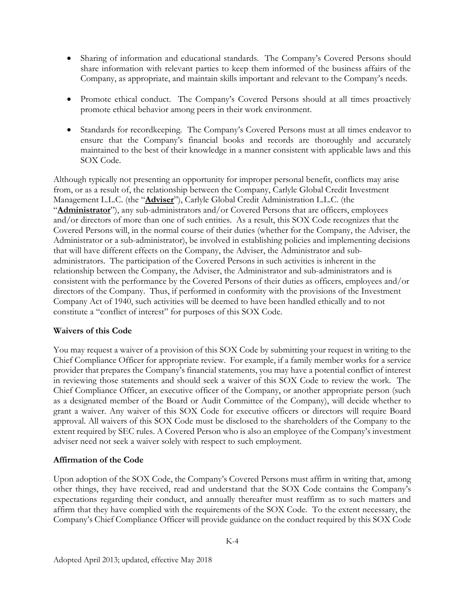- Sharing of information and educational standards. The Company's Covered Persons should share information with relevant parties to keep them informed of the business affairs of the Company, as appropriate, and maintain skills important and relevant to the Company's needs.
- Promote ethical conduct. The Company's Covered Persons should at all times proactively promote ethical behavior among peers in their work environment.
- Standards for recordkeeping. The Company's Covered Persons must at all times endeavor to ensure that the Company's financial books and records are thoroughly and accurately maintained to the best of their knowledge in a manner consistent with applicable laws and this SOX Code.

Although typically not presenting an opportunity for improper personal benefit, conflicts may arise from, or as a result of, the relationship between the Company, Carlyle Global Credit Investment Management L.L.C. (the "**Adviser**"), Carlyle Global Credit Administration L.L.C. (the "**Administrator**"), any sub-administrators and/or Covered Persons that are officers, employees and/or directors of more than one of such entities. As a result, this SOX Code recognizes that the Covered Persons will, in the normal course of their duties (whether for the Company, the Adviser, the Administrator or a sub-administrator), be involved in establishing policies and implementing decisions that will have different effects on the Company, the Adviser, the Administrator and subadministrators. The participation of the Covered Persons in such activities is inherent in the relationship between the Company, the Adviser, the Administrator and sub-administrators and is consistent with the performance by the Covered Persons of their duties as officers, employees and/or directors of the Company. Thus, if performed in conformity with the provisions of the Investment Company Act of 1940, such activities will be deemed to have been handled ethically and to not constitute a "conflict of interest" for purposes of this SOX Code.

### **Waivers of this Code**

You may request a waiver of a provision of this SOX Code by submitting your request in writing to the Chief Compliance Officer for appropriate review. For example, if a family member works for a service provider that prepares the Company's financial statements, you may have a potential conflict of interest in reviewing those statements and should seek a waiver of this SOX Code to review the work. The Chief Compliance Officer, an executive officer of the Company, or another appropriate person (such as a designated member of the Board or Audit Committee of the Company), will decide whether to grant a waiver. Any waiver of this SOX Code for executive officers or directors will require Board approval. All waivers of this SOX Code must be disclosed to the shareholders of the Company to the extent required by SEC rules. A Covered Person who is also an employee of the Company's investment adviser need not seek a waiver solely with respect to such employment.

### **Affirmation of the Code**

Upon adoption of the SOX Code, the Company's Covered Persons must affirm in writing that, among other things, they have received, read and understand that the SOX Code contains the Company's expectations regarding their conduct, and annually thereafter must reaffirm as to such matters and affirm that they have complied with the requirements of the SOX Code. To the extent necessary, the Company's Chief Compliance Officer will provide guidance on the conduct required by this SOX Code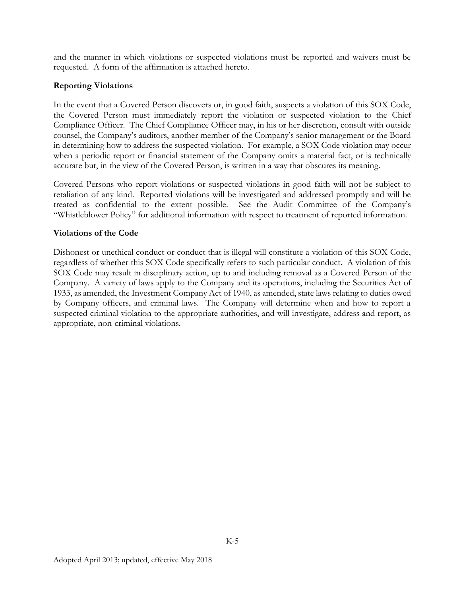and the manner in which violations or suspected violations must be reported and waivers must be requested. A form of the affirmation is attached hereto.

#### **Reporting Violations**

In the event that a Covered Person discovers or, in good faith, suspects a violation of this SOX Code, the Covered Person must immediately report the violation or suspected violation to the Chief Compliance Officer. The Chief Compliance Officer may, in his or her discretion, consult with outside counsel, the Company's auditors, another member of the Company's senior management or the Board in determining how to address the suspected violation. For example, a SOX Code violation may occur when a periodic report or financial statement of the Company omits a material fact, or is technically accurate but, in the view of the Covered Person, is written in a way that obscures its meaning.

Covered Persons who report violations or suspected violations in good faith will not be subject to retaliation of any kind. Reported violations will be investigated and addressed promptly and will be treated as confidential to the extent possible. See the Audit Committee of the Company's "Whistleblower Policy" for additional information with respect to treatment of reported information.

#### **Violations of the Code**

Dishonest or unethical conduct or conduct that is illegal will constitute a violation of this SOX Code, regardless of whether this SOX Code specifically refers to such particular conduct. A violation of this SOX Code may result in disciplinary action, up to and including removal as a Covered Person of the Company. A variety of laws apply to the Company and its operations, including the Securities Act of 1933, as amended, the Investment Company Act of 1940, as amended, state laws relating to duties owed by Company officers, and criminal laws. The Company will determine when and how to report a suspected criminal violation to the appropriate authorities, and will investigate, address and report, as appropriate, non-criminal violations.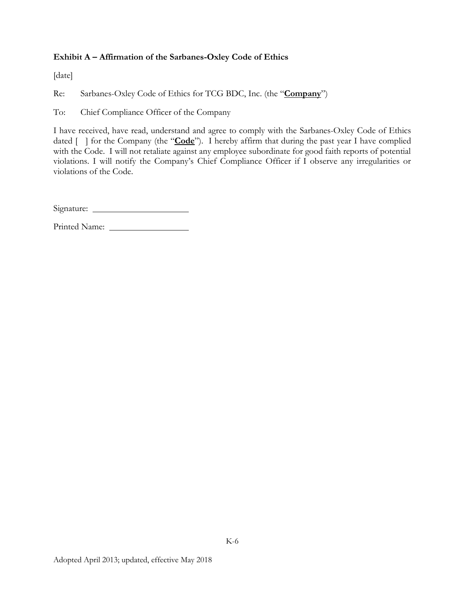## **Exhibit A – Affirmation of the Sarbanes-Oxley Code of Ethics**

[date]

Re: Sarbanes-Oxley Code of Ethics for TCG BDC, Inc. (the "**Company**")

To: Chief Compliance Officer of the Company

I have received, have read, understand and agree to comply with the Sarbanes-Oxley Code of Ethics dated  $\lceil \cdot \rceil$  for the Company (the "**Code**"). I hereby affirm that during the past year I have complied with the Code. I will not retaliate against any employee subordinate for good faith reports of potential violations. I will notify the Company's Chief Compliance Officer if I observe any irregularities or violations of the Code.

Signature:

Printed Name: